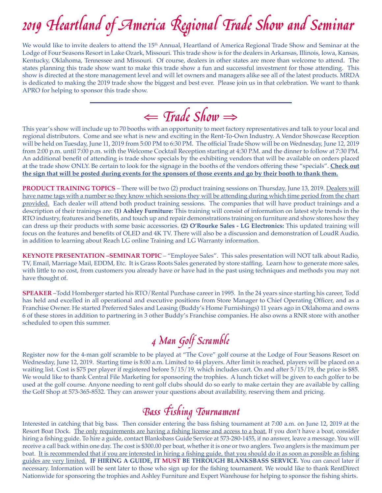# 2019 Heartland of America Regional Trade Show and Seminar 2019 Heartland of America Regional Trade Show and Seminar

We would like to invite dealers to attend the 15<sup>th</sup> Annual, Heartland of America Regional Trade Show and Seminar at the Lodge of Four Seasons Resort in Lake Ozark, Missouri. This trade show is for the dealers in Arkansas, Illinois, Iowa, Kansas, Kentucky, Oklahoma, Tennessee and Missouri. Of course, dealers in other states are more than welcome to attend. The states planning this trade show want to make this trade show a fun and successful investment for those attending. This show is directed at the store management level and will let owners and managers alike see all of the latest products. MRDA is dedicated to making the 2019 trade show the biggest and best ever. Please join us in that celebration. We want to thank APRO for helping to sponsor this trade show.

⇐ Trade Show<sup>⇒</sup>

This year's show will include up to 70 booths with an opportunity to meet factory representatives and talk to your local and regional distributors. Come and see what is new and exciting in the Rent-To-Own Industry. A Vendor Showcase Reception will be held on Tuesday, June 11, 2019 from 5:00 PM to 6:30 PM. The official Trade Show will be on Wednesday, June 12, 2019 from 2:00 p.m. until 7:00 p.m. with the Welcome Cocktail Reception starting at 4:30 P.M. and the dinner to follow at 7:30 PM. An additional benefit of attending is trade show specials by the exhibiting vendors that will be available on orders placed at the trade show ONLY. Be certain to look for the signage in the booths of the vendors offering these "specials". **Check out the sign that will be posted during events for the sponsors of those events and go by their booth to thank them.**

**PRODUCT TRAINING TOPICS** – There will be two (2) product training sessions on Thursday, June 13, 2019. Dealers will have name tags with a number so they know which sessions they will be attending during which time period from the chart provided. Each dealer will attend both product training sessions. The companies that will have product trainings and a description of their trainings are: **(1) Ashley Furniture:** This training will consist of information on latest style trends in the RTO industry, features and benefits, and touch up and repair demonstrations training on furniture and show stores how they can dress up their products with some basic accessories. **(2) O'Rourke Sales - LG Electronics:** This updated training will focus on the features and benefits of OLED and 4K TV. There will also be a discussion and demonstration of LoudR Audio, in addition to learning about Reach LG online Training and LG Warranty information.

**KEYNOTE PRESENTATION –SEMINAR TOPIC** – "Employee Sales". This sales presentation will NOT talk about Radio, TV, Email, Marriage Mail, EDDM, Etc. It is Grass Roots Sales generated by store staffing. Learn how to generate more sales, with little to no cost, from customers you already have or have had in the past using techniques and methods you may not have thought of.

**SPEAKER** –Todd Homberger started his RTO/Rental Purchase career in 1995. In the 24 years since starting his career, Todd has held and excelled in all operational and executive positions from Store Manager to Chief Operating Officer, and as a Franchise Owner. He started Preferred Sales and Leasing (Buddy's Home Furnishings) 11 years ago in Oklahoma and owns 6 of these stores in addition to partnering in 3 other Buddy's Franchise companies. He also owns a RNR store with another scheduled to open this summer.

## 4 Man Golf Scramble

Register now for the 4-man golf scramble to be played at "The Cove" golf course at the Lodge of Four Seasons Resort on Wednesday, June 12, 2019. Starting time is 8:00 a.m. Limited to 44 players. After limit is reached, players will be placed on a waiting list. Cost is \$75 per player if registered before 5/15/19, which includes cart. On and after 5/15/19, the price is \$85. We would like to thank Central File Marketing for sponsoring the trophies. A lunch ticket will be given to each golfer to be used at the golf course. Anyone needing to rent golf clubs should do so early to make certain they are available by calling the Golf Shop at 573-365-8532. They can answer your questions about availability, reserving them and pricing.

EXAMAN EXAMANAM TOWARDAM TO THE REFORE TO A.m. On June 12, 2019 at the Interested in catching that big bass. Then consider entering the bass fishing tournament at 7:00 a.m. on June 12, 2019 at the Resort Boat Dock. The only requirements are having a fishing license and access to a boat. If you don't have a boat, consider hiring a fishing guide. To hire a guide, contact Blanksbass Guide Service at 573-280-1455, if no answer, leave a message. You will receive a call back within one day. The cost is \$300.00 per boat, whether it is one or two anglers. Two anglers is the maximum per boat. It is recommended that if you are interested in hiring a fishing guide, that you should do it as soon as possible as fishing guides are very limited. **If hiring a guide, it MUST be through Blanksbass service.** You can cancel later if necessary. Information will be sent later to those who sign up for the fishing tournament. We would like to thank RentDirect Nationwide for sponsoring the trophies and Ashley Furniture and Expert Warehouse for helping to sponsor the fishing shirts.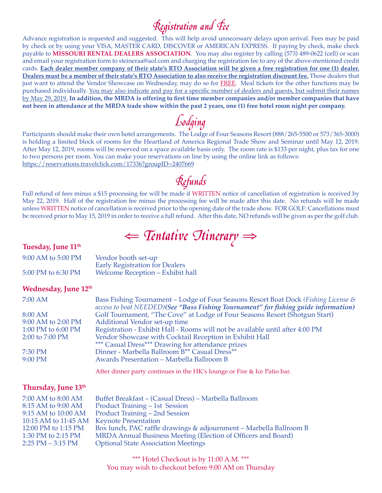Advance registration is requested and suggested. This will help avoid unnecessary delays upon arrival. Fees may be paid by check or by using your VISA, MASTER CARD, DISCOVER or AMERICAN EXPRESS. If paying by check, make check payable to **MISSOURI RENTAL DEALERS ASSOCIATION**. You may also register by calling (573) 489-0622 (cell) or scan and email your registration form to steineraa@aol.com and charging the registration fee to any of the above-mentioned credit cards. **Each dealer member company of their state's RTO Association will be given a free registration for one (1) dealer. Dealers must be a member of their state's RTO Association to also receive the registration discount fee.** Those dealers that just want to attend the Vendor Showcase on Wednesday, may do so for FREE. Meal tickets for the other functions may be purchased individually. You may also indicate and pay for a specific number of dealers and guests, but submit their names by May 29, 2019. **In addition, the MRDA is offering to first time member companies and/or member companies that have not been in attendance at the MRDA trade show within the past 2 years, one (1) free hotel room night per company.**

Lodging Participants should make their own hotel arrangements. The Lodge of Four Seasons Resort (888/265-5500 or 573/365-3000) is holding a limited block of rooms for the Heartland of America Regional Trade Show and Seminar until May 12, 2019. After May 12, 2019, rooms will be reserved on a space available basis only. The room rate is \$133 per night, plus tax for one to two persons per room. You can make your reservations on line by using the online link as follows: https://reservations.travelclick.com/17336?groupID=2407669

Full refund of fees minus a \$15 processing fee will be made if WRITTEN notice of cancellation of registration is received by May 22, 2019. Half of the registration fee minus the processing fee will be made after this date. No refunds will be made unless WRITTEN notice of cancellation is received prior to the opening date of the trade show. FOR GOLF: Cancellations must be received prior to May 15, 2019 in order to receive a full refund. After this date, NO refunds will be given as per the golf club.

⇐ Tentative Itinerary<sup>⇒</sup>

### **Tuesday, June 11th**

| 9:00 AM to 5:00 PM | Vendor booth set-up                   |
|--------------------|---------------------------------------|
|                    | <b>Early Registration for Dealers</b> |
| 5:00 PM to 6:30 PM | Welcome Reception - Exhibit hall      |

### **Wednesday, June 12th**

| $7:00$ AM          | Bass Fishing Tournament – Lodge of Four Seasons Resort Boat Dock (Fishing License &<br>access to boat NEEDED)(See "Bass Fishing Tournament" for fishing guide information) |
|--------------------|----------------------------------------------------------------------------------------------------------------------------------------------------------------------------|
| 8:00 AM            | Golf Tournament, "The Cove" at Lodge of Four Seasons Resort (Shotgun Start)                                                                                                |
| 9:00 AM to 2:00 PM | Additional Vendor set-up time                                                                                                                                              |
| 1:00 PM to 6:00 PM | Registration - Exhibit Hall - Rooms will not be available until after 4:00 PM                                                                                              |
| 2:00 to 7:00 PM    | Vendor Showcase with Cocktail Reception in Exhibit Hall                                                                                                                    |
|                    | *** Casual Dress*** Drawing for attendance prizes                                                                                                                          |
| 7:30 PM            | Dinner - Marbella Ballroom B <sup>**</sup> Casual Dress <sup>**</sup>                                                                                                      |
| 9:00 PM            | Awards Presentation - Marbella Ballroom B                                                                                                                                  |
|                    |                                                                                                                                                                            |

After dinner party continues in the HK's lounge or Fire & Ice Patio bar.

### **Thursday, June 13th**

| Buffet Breakfast – (Casual Dress) – Marbella Ballroom              |
|--------------------------------------------------------------------|
| Product Training - 1st Session                                     |
| Product Training - 2nd Session                                     |
| <b>Keynote Presentation</b>                                        |
| Box lunch, PAC raffle drawings & adjournment - Marbella Ballroom B |
| MRDA Annual Business Meeting (Election of Officers and Board)      |
| <b>Optional State Association Meetings</b>                         |
|                                                                    |

\*\*\* Hotel Checkout is by 11:00 A.M. \*\*\* You may wish to checkout before 9:00 AM on Thursday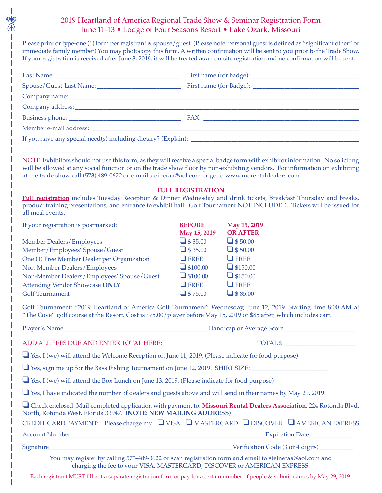### 2019 Heartland of America Regional Trade Show & Seminar Registration Form June 11-13 • Lodge of Four Seasons Resort • Lake Ozark, Missouri

Please print or type-one (1) form per registrant & spouse/guest. (Please note: personal guest is defined as "significant other" or immediate family member) You may photocopy this form. A written confirmation will be sent to you prior to the Trade Show. If your registration is received after June 3, 2019, it will be treated as an on-site registration and no confirmation will be sent.

| Member e-mail address: National American Service Communication of the Communication of the Communication of the Communication of the Communication of the Communication of the Communication of the Communication of the Commu |  |  |  |  |
|--------------------------------------------------------------------------------------------------------------------------------------------------------------------------------------------------------------------------------|--|--|--|--|
|                                                                                                                                                                                                                                |  |  |  |  |
|                                                                                                                                                                                                                                |  |  |  |  |

NOTE: Exhibitors should not use this form, as they will receive a special badge form with exhibitor information. No soliciting will be allowed at any social function or on the trade show floor by non-exhibiting vendors. For information on exhibiting at the trade show call (573) 489-0622 or e-mail steineraa@aol.com or go to www.morentaldealers.com

### **FULL REGISTRATION**

**Full registration** includes Tuesday Reception & Dinner Wednesday and drink tickets, Breakfast Thursday and breaks, product training presentations, and entrance to exhibit hall. Golf Tournament NOT INCLUDED. Tickets will be issued for all meal events.

| If your registration is postmarked:         | <b>BEFORE</b>   | May 15, 2019        |
|---------------------------------------------|-----------------|---------------------|
|                                             | May 15, 2019    | <b>OR AFTER</b>     |
| Member Dealers/Employees                    | $\Box$ \$35.00  | $\Box$ \$50.00      |
| Member/Employees' Spouse/Guest              | $\Box$ \$35.00  | $\Box$ \$50.00      |
| One (1) Free Member Dealer per Organization | $\Box$ FREE     | $\blacksquare$ FREE |
| Non-Member Dealers/Employees                | $\Box$ \$100.00 | $\Box$ \$150.00     |
| Non-Member Dealers/Employees' Spouse/Guest  | $\Box$ \$100.00 | $\Box$ \$150.00     |
| Attending Vendor Showcase ONLY              | $\Box$ FREE     | $\Box$ FREE         |
| <b>Golf Tournament</b>                      | $\Box$ \$75.00  | $\Box$ \$85.00      |

Golf Tournament: "2019 Heartland of America Golf Tournament" Wednesday, June 12, 2019. Starting time 8:00 AM at "The Cove" golf course at the Resort. Cost is \$75.00/player before May 15, 2019 or \$85 after, which includes cart.

| ADD ALL FEES DUE AND ENTER TOTAL HERE:                                                                                                                                                  | $\overline{\text{TOTAL } }$ \$ |  |  |  |
|-----------------------------------------------------------------------------------------------------------------------------------------------------------------------------------------|--------------------------------|--|--|--|
| $\Box$ Yes, I (we) will attend the Welcome Reception on June 11, 2019. (Please indicate for food purpose)                                                                               |                                |  |  |  |
| Yes, sign me up for the Bass Fishing Tournament on June 12, 2019. SHIRT SIZE:                                                                                                           |                                |  |  |  |
| $\Box$ Yes, I (we) will attend the Box Lunch on June 13, 2019. (Please indicate for food purpose)                                                                                       |                                |  |  |  |
| □ Yes, I have indicated the number of dealers and guests above and will send in their names by May 29, 2019.                                                                            |                                |  |  |  |
| □ Check enclosed. Mail completed application with payment to: Missouri Rental Dealers Association, 224 Rotonda Blvd.<br>North, Rotonda West, Florida 33947. (NOTE: NEW MAILING ADDRESS) |                                |  |  |  |
| CREDIT CARD PAYMENT: Please charge my $\Box$ VISA $\Box$ MASTERCARD $\Box$ DISCOVER $\Box$ AMERICAN EXPRESS                                                                             |                                |  |  |  |
|                                                                                                                                                                                         |                                |  |  |  |
| Signature Verification Code (3 or 4 digits)                                                                                                                                             |                                |  |  |  |
| You may register by calling 573-489-0622 or scan registration form and email to steineraa@aol.com and<br>charging the fee to your VISA, MASTERCARD, DISCOVER or AMERICAN EXPRESS.       |                                |  |  |  |

Each registrant MUST fill out a separate registration form or pay for a certain number of people & submit names by May 29, 2019.